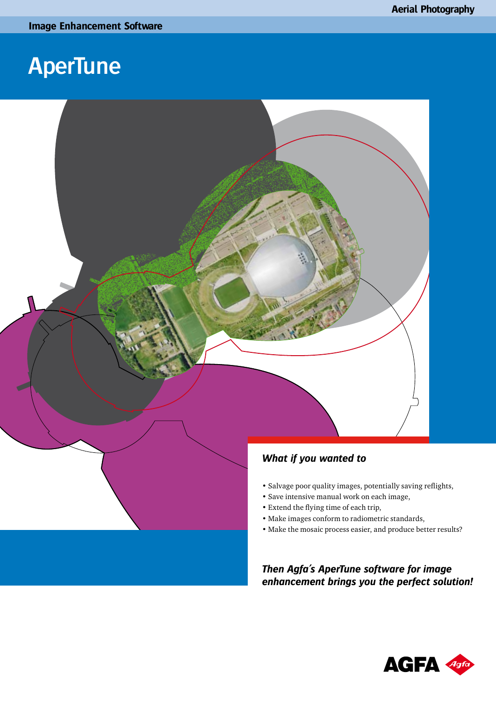

- Extend the flying time of each trip,
- Make images conform to radiometric standards,
- Make the mosaic process easier, and produce better results?

*Then Agfa's AperTune software for image enhancement brings you the perfect solution!*

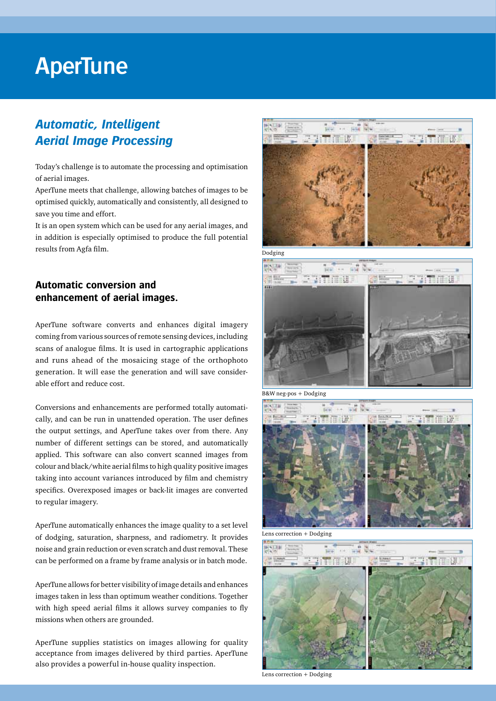### *Automatic, Intelligent Aerial Image Processing*

Today's challenge is to automate the processing and optimisation of aerial images.

AperTune meets that challenge, allowing batches of images to be optimised quickly, automatically and consistently, all designed to save you time and effort.

It is an open system which can be used for any aerial images, and in addition is especially optimised to produce the full potential results from Agfa film.

#### **Automatic conversion and enhancement of aerial images.**

AperTune software converts and enhances digital imagery coming from various sources of remote sensing devices, including scans of analogue films. It is used in cartographic applications and runs ahead of the mosaicing stage of the orthophoto generation. It will ease the generation and will save considerable effort and reduce cost.

Conversions and enhancements are performed totally automatically, and can be run in unattended operation. The user defines the output settings, and AperTune takes over from there. Any number of different settings can be stored, and automatically applied. This software can also convert scanned images from colour and black/white aerial films to high quality positive images taking into account variances introduced by film and chemistry specifics. Overexposed images or back-lit images are converted to regular imagery.

AperTune automatically enhances the image quality to a set level of dodging, saturation, sharpness, and radiometry. It provides noise and grain reduction or even scratch and dust removal. These can be performed on a frame by frame analysis or in batch mode.

AperTune allows for better visibility of image details and enhances images taken in less than optimum weather conditions. Together with high speed aerial films it allows survey companies to fly missions when others are grounded.

AperTune supplies statistics on images allowing for quality acceptance from images delivered by third parties. AperTune also provides a powerful in-house quality inspection.



Dodging



B&W neg-pos + Dodging



Lens correction + Dodging



Lens correction + Dodging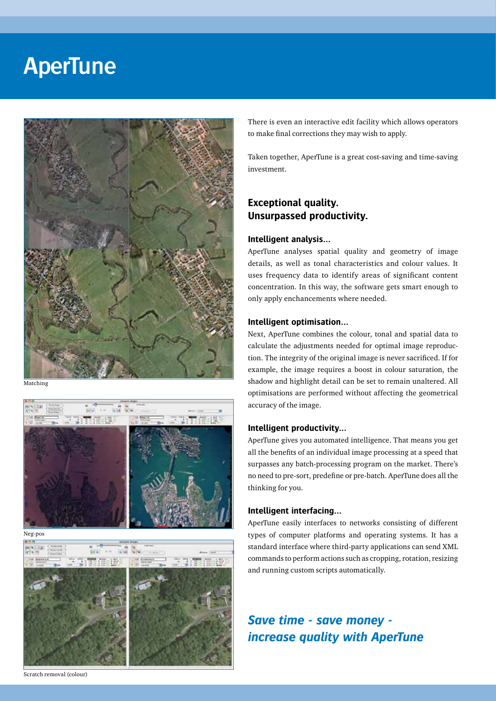

Matching



Neg-pos



There is even an interactive edit facility which allows operators to make final corrections they may wish to apply.

Taken together, AperTune is a great cost-saving and time-saving investment.

#### **Exceptional quality. Unsurpassed productivity.**

#### **Intelligent analysis…**

AperTune analyses spatial quality and geometry of image details, as well as tonal characteristics and colour values. It uses frequency data to identify areas of significant content concentration. In this way, the software gets smart enough to only apply enchancements where needed.

#### **Intelligent optimisation…**

Next, AperTune combines the colour, tonal and spatial data to calculate the adjustments needed for optimal image reproduction. The integrity of the original image is never sacrificed. If for example, the image requires a boost in colour saturation, the shadow and highlight detail can be set to remain unaltered. All optimisations are performed without affecting the geometrical accuracy of the image.

#### **Intelligent productivity…**

AperTune gives you automated intelligence. That means you get all the benefits of an individual image processing at a speed that surpasses any batch-processing program on the market. There's no need to pre-sort, predefine or pre-batch. AperTune does all the thinking for you.

#### **Intelligent interfacing…**

AperTune easily interfaces to networks consisting of different types of computer platforms and operating systems. It has a standard interface where third-party applications can send XML commands to perform actions such as cropping, rotation, resizing and running custom scripts automatically.

### *Save time - save money increase quality with AperTune*

Scratch removal (colour)